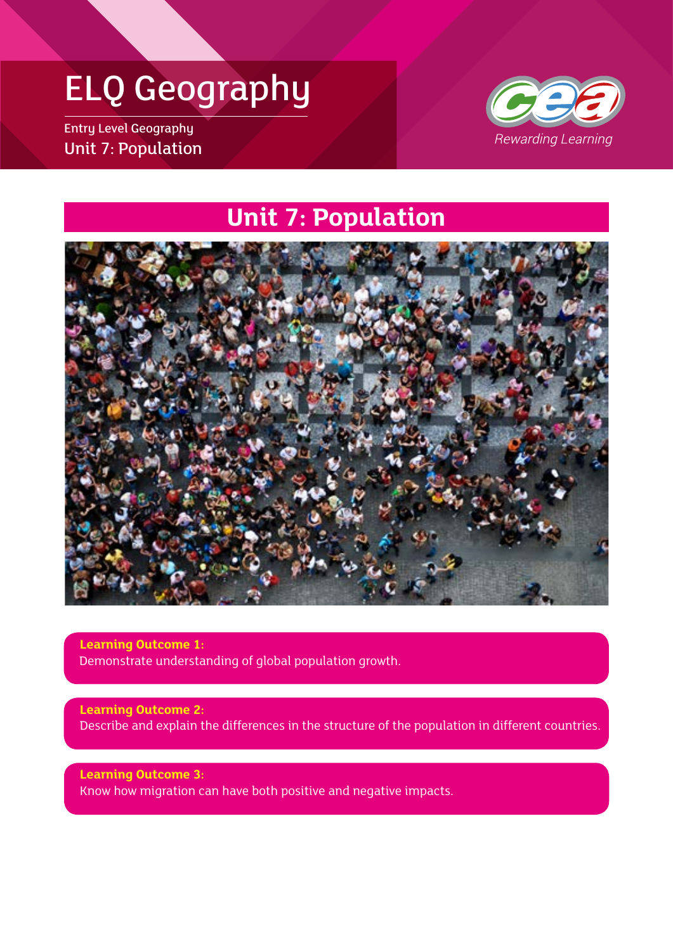## ELQ Geography

Entry Level Geography Unit 7: Population



### **Unit 7: Population**



**Learning Outcome 1:** Demonstrate understanding of global population growth.

**Learning Outcome 2:** Describe and explain the differences in the structure of the population in different countries.

**Learning Outcome 3:** Know how migration can have both positive and negative impacts.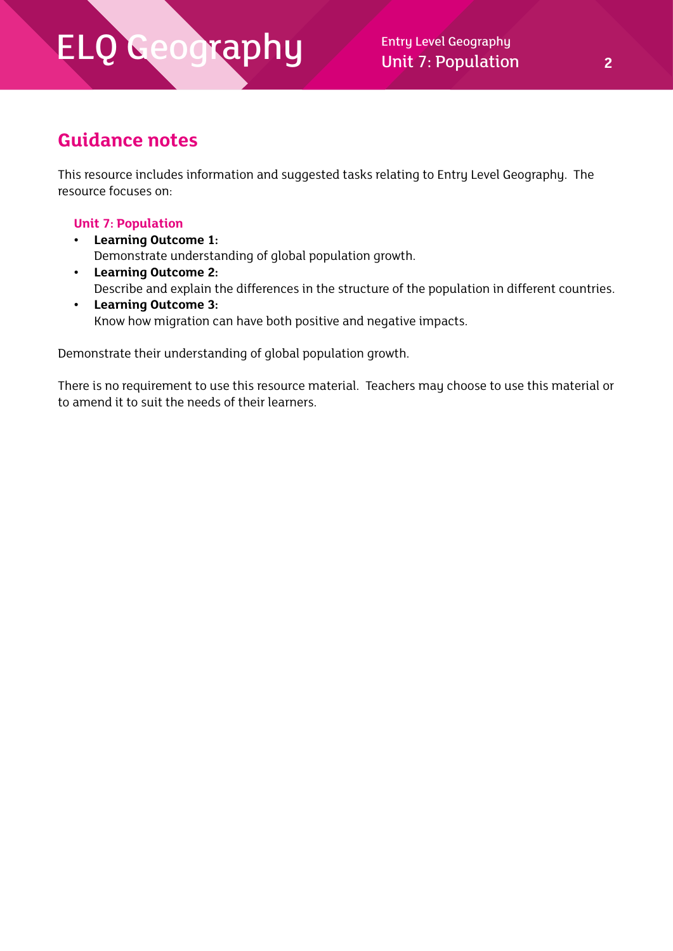Unit 7: Population **2**

### **Guidance notes**

This resource includes information and suggested tasks relating to Entry Level Geography. The resource focuses on:

#### **Unit 7: Population**

- **• Learning Outcome 1:** Demonstrate understanding of global population growth.
- **• Learning Outcome 2:** Describe and explain the differences in the structure of the population in different countries.
- **• Learning Outcome 3:** Know how migration can have both positive and negative impacts.

Demonstrate their understanding of global population growth.

There is no requirement to use this resource material. Teachers may choose to use this material or to amend it to suit the needs of their learners.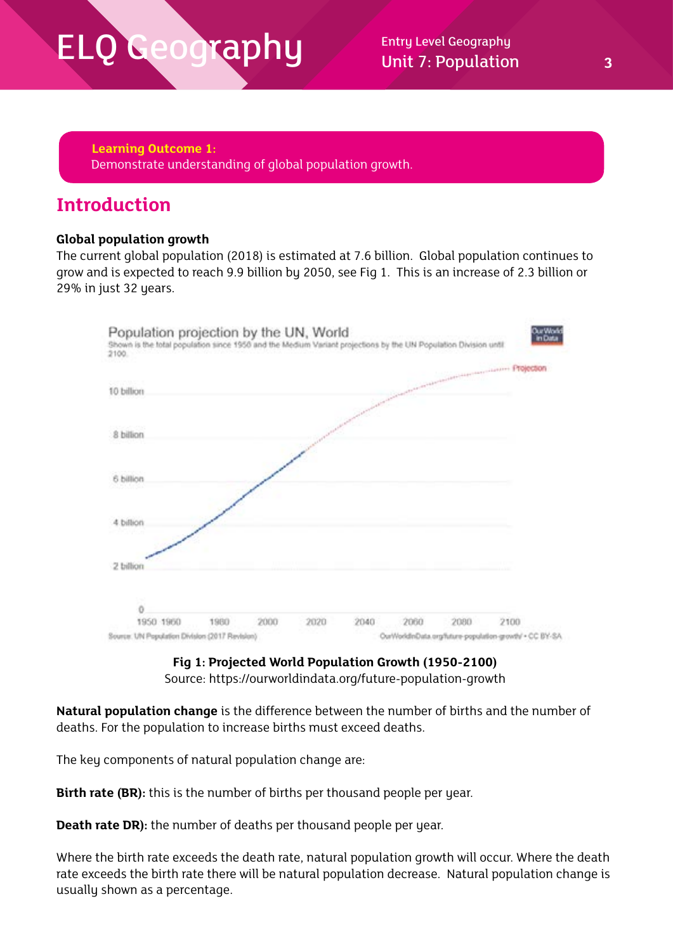**Learning Outcome 1:** Demonstrate understanding of global population growth.

### **Introduction**

### **Global population growth**

The current global population (2018) is estimated at 7.6 billion. Global population continues to grow and is expected to reach 9.9 billion by 2050, see Fig 1. This is an increase of 2.3 billion or 29% in just 32 years.



**Fig 1: Projected World Population Growth (1950-2100)** Source: https://ourworldindata.org/future-population-growth

**Natural population change** is the difference between the number of births and the number of deaths. For the population to increase births must exceed deaths.

The key components of natural population change are:

**Birth rate (BR):** this is the number of births per thousand people per year.

**Death rate DR):** the number of deaths per thousand people per year.

Where the birth rate exceeds the death rate, natural population growth will occur. Where the death rate exceeds the birth rate there will be natural population decrease. Natural population change is usually shown as a percentage.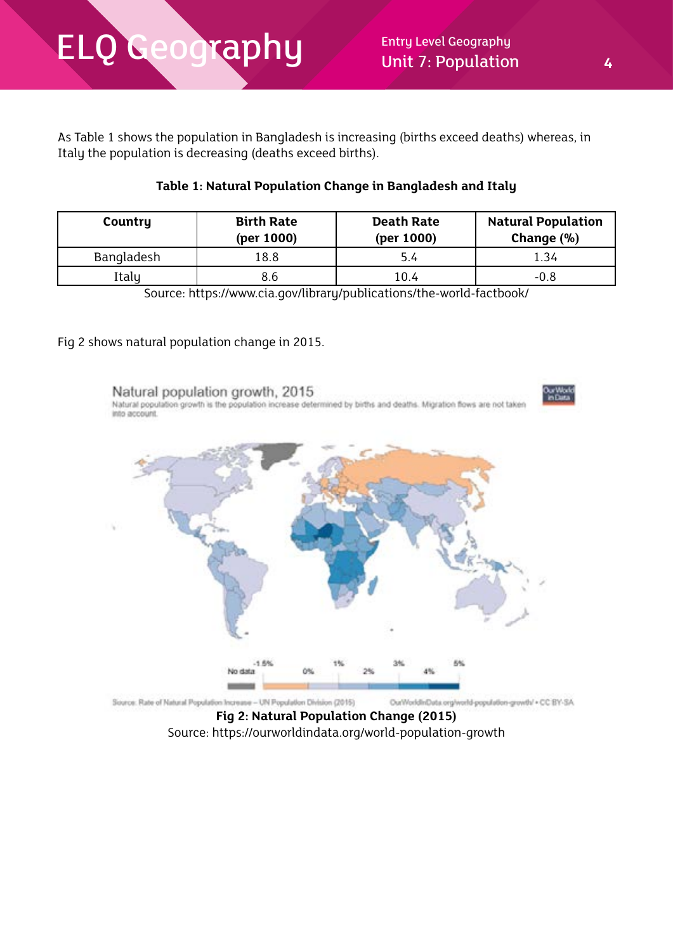As Table 1 shows the population in Bangladesh is increasing (births exceed deaths) whereas, in Italy the population is decreasing (deaths exceed births).

### **Table 1: Natural Population Change in Bangladesh and Italy**

| Country           | <b>Birth Rate</b><br>(per 1000) | <b>Death Rate</b><br>(per 1000) | <b>Natural Population</b><br>Change (%) |
|-------------------|---------------------------------|---------------------------------|-----------------------------------------|
| <b>Bangladesh</b> | 18.8                            | 5.4                             | 1.34                                    |
| Italy             | 8.6                             | 10.4                            | $-0.8$                                  |

Source: https://www.cia.gov/library/publications/the-world-factbook/

#### Fig 2 shows natural population change in 2015.



**Fig 2: Natural Population Change (2015)** Source: https://ourworldindata.org/world-population-growth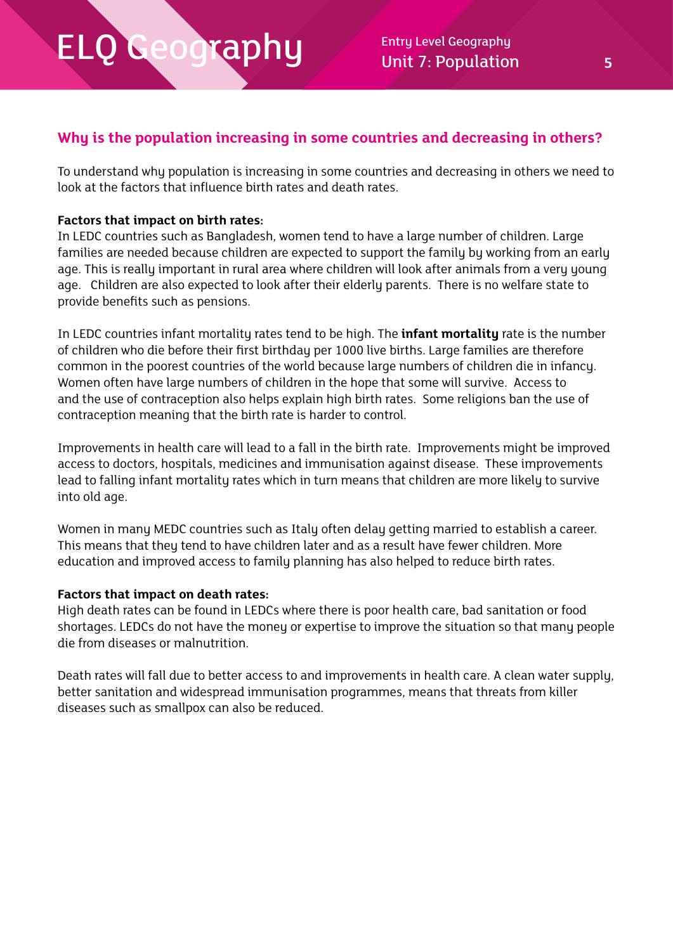### **Why is the population increasing in some countries and decreasing in others?**

To understand why population is increasing in some countries and decreasing in others we need to look at the factors that influence birth rates and death rates.

#### **Factors that impact on birth rates:**

In LEDC countries such as Bangladesh, women tend to have a large number of children. Large families are needed because children are expected to support the family by working from an early age. This is really important in rural area where children will look after animals from a very young age. Children are also expected to look after their elderly parents. There is no welfare state to provide benefits such as pensions.

In LEDC countries infant mortality rates tend to be high. The **infant mortality** rate is the number of children who die before their first birthday per 1000 live births. Large families are therefore common in the poorest countries of the world because large numbers of children die in infancy. Women often have large numbers of children in the hope that some will survive. Access to and the use of contraception also helps explain high birth rates. Some religions ban the use of contraception meaning that the birth rate is harder to control.

Improvements in health care will lead to a fall in the birth rate. Improvements might be improved access to doctors, hospitals, medicines and immunisation against disease. These improvements lead to falling infant mortality rates which in turn means that children are more likely to survive into old age.

Women in many MEDC countries such as Italy often delay getting married to establish a career. This means that they tend to have children later and as a result have fewer children. More education and improved access to family planning has also helped to reduce birth rates.

#### **Factors that impact on death rates:**

High death rates can be found in LEDCs where there is poor health care, bad sanitation or food shortages. LEDCs do not have the moneu or expertise to improve the situation so that manu people die from diseases or malnutrition.

Death rates will fall due to better access to and improvements in health care. A clean water supply, better sanitation and widespread immunisation programmes, means that threats from killer diseases such as smallpox can also be reduced.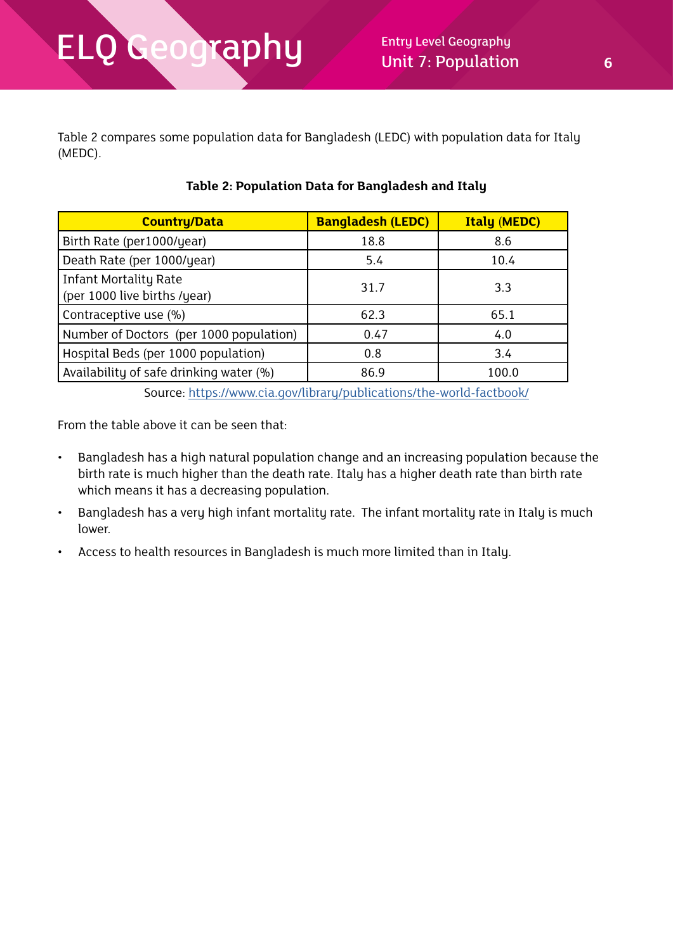Table 2 compares some population data for Bangladesh (LEDC) with population data for Italy (MEDC).

| <b>Country/Data</b>                                          | <b>Bangladesh (LEDC)</b> | <b>Italy (MEDC)</b> |
|--------------------------------------------------------------|--------------------------|---------------------|
| Birth Rate (per1000/year)                                    | 18.8                     | 8.6                 |
| Death Rate (per 1000/year)                                   | 5.4                      | 10.4                |
| <b>Infant Mortality Rate</b><br>(per 1000 live births /year) | 31.7                     | 3.3                 |
| Contraceptive use (%)                                        | 62.3                     | 65.1                |
| Number of Doctors (per 1000 population)                      | 0.47                     | 4.0                 |
| Hospital Beds (per 1000 population)                          | 0.8                      | 3.4                 |
| Availability of safe drinking water (%)                      | 86.9                     | 100.0               |

### **Table 2: Population Data for Bangladesh and Italy**

Source: <https://www.cia.gov/library/publications/the-world-factbook/>

From the table above it can be seen that:

- Bangladesh has a high natural population change and an increasing population because the birth rate is much higher than the death rate. Italy has a higher death rate than birth rate which means it has a decreasing population.
- Bangladesh has a very high infant mortality rate. The infant mortality rate in Italy is much lower.
- Access to health resources in Bangladesh is much more limited than in Italy.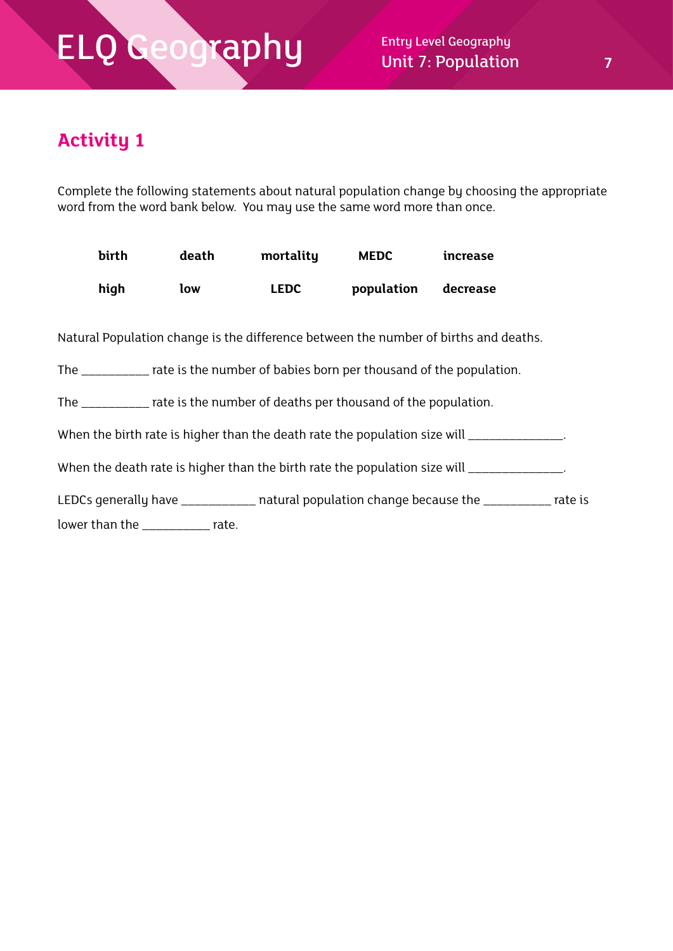### **Activity 1**

Complete the following statements about natural population change by choosing the appropriate word from the word bank below. You may use the same word more than once.

| birth                                                                             | death | mortality   | <b>MEDC</b> | increase                                                                                     |  |
|-----------------------------------------------------------------------------------|-------|-------------|-------------|----------------------------------------------------------------------------------------------|--|
| high                                                                              | low   | <b>LEDC</b> | population  | decrease                                                                                     |  |
|                                                                                   |       |             |             | Natural Population change is the difference between the number of births and deaths.         |  |
| The ___________ rate is the number of babies born per thousand of the population. |       |             |             |                                                                                              |  |
| The ___________ rate is the number of deaths per thousand of the population.      |       |             |             |                                                                                              |  |
|                                                                                   |       |             |             | When the birth rate is higher than the death rate the population size will _______________.  |  |
|                                                                                   |       |             |             | When the death rate is higher than the birth rate the population size will _________________ |  |
| lower than the ____________ rate.                                                 |       |             |             | LEDCs generally have ____________ natural population change because the __________ rate is   |  |
|                                                                                   |       |             |             |                                                                                              |  |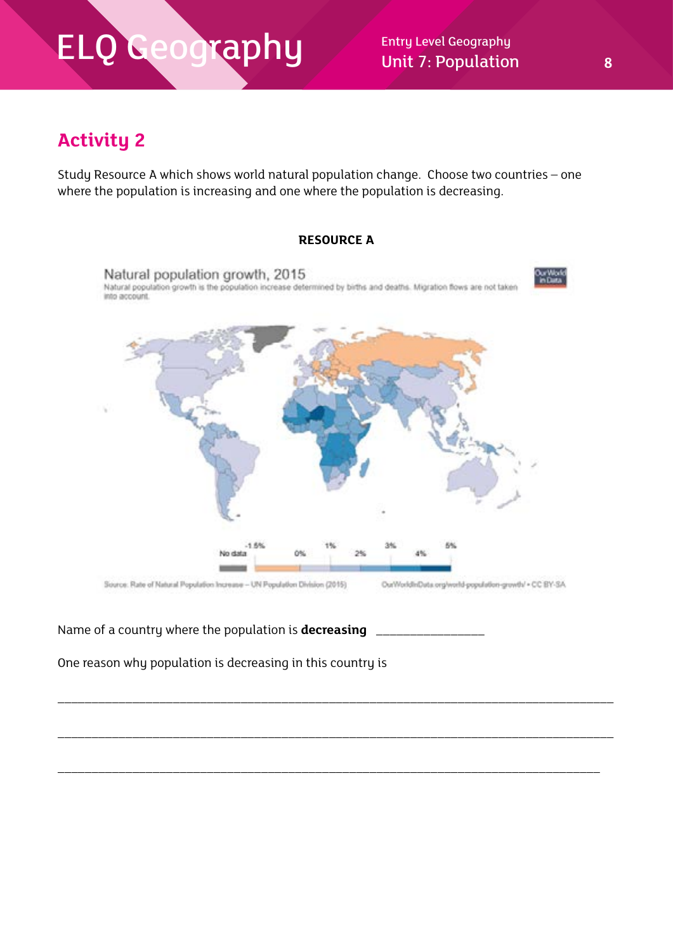Unit 7: Population **8** 

### **Activity 2**

Study Resource A which shows world natural population change. Choose two countries – one where the population is increasing and one where the population is decreasing.



\_\_\_\_\_\_\_\_\_\_\_\_\_\_\_\_\_\_\_\_\_\_\_\_\_\_\_\_\_\_\_\_\_\_\_\_\_\_\_\_\_\_\_\_\_\_\_\_\_\_\_\_\_\_\_\_\_\_\_\_\_\_\_\_\_\_\_\_\_\_\_\_\_\_\_\_\_\_\_\_\_\_

\_\_\_\_\_\_\_\_\_\_\_\_\_\_\_\_\_\_\_\_\_\_\_\_\_\_\_\_\_\_\_\_\_\_\_\_\_\_\_\_\_\_\_\_\_\_\_\_\_\_\_\_\_\_\_\_\_\_\_\_\_\_\_\_\_\_\_\_\_\_\_\_\_\_\_\_\_\_\_\_\_\_

\_\_\_\_\_\_\_\_\_\_\_\_\_\_\_\_\_\_\_\_\_\_\_\_\_\_\_\_\_\_\_\_\_\_\_\_\_\_\_\_\_\_\_\_\_\_\_\_\_\_\_\_\_\_\_\_\_\_\_\_\_\_\_\_\_\_\_\_\_\_\_\_\_\_\_\_\_\_\_\_

Name of a country where the population is **decreasing** \_\_\_\_\_\_\_\_\_\_\_\_\_\_\_\_

One reason why population is decreasing in this country is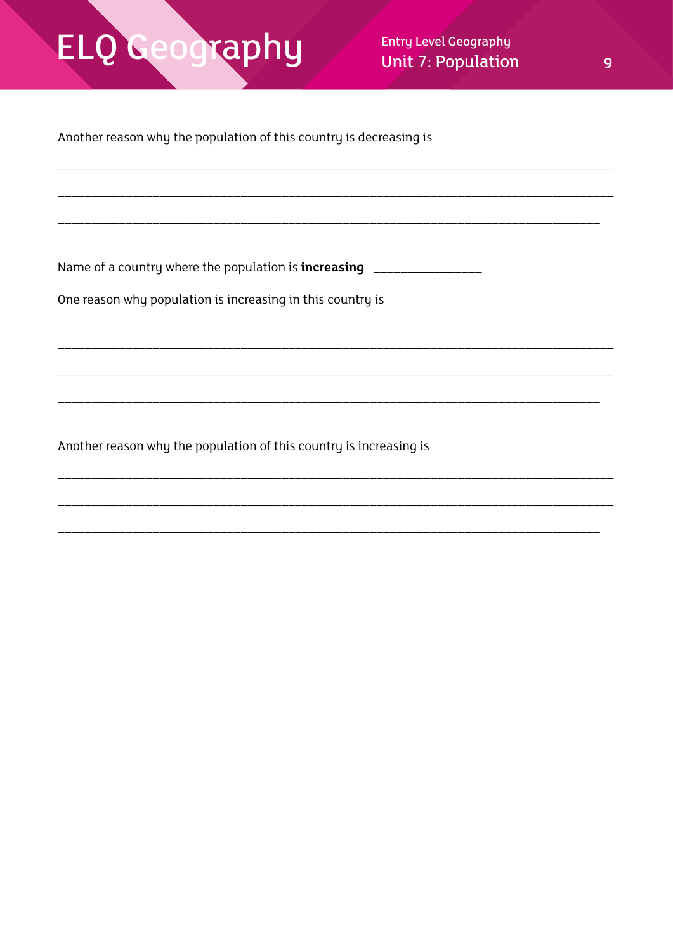### ELQ Geography

Another reason why the population of this country is decreasing is

One reason why population is increasing in this country is

Another reason why the population of this country is increasing is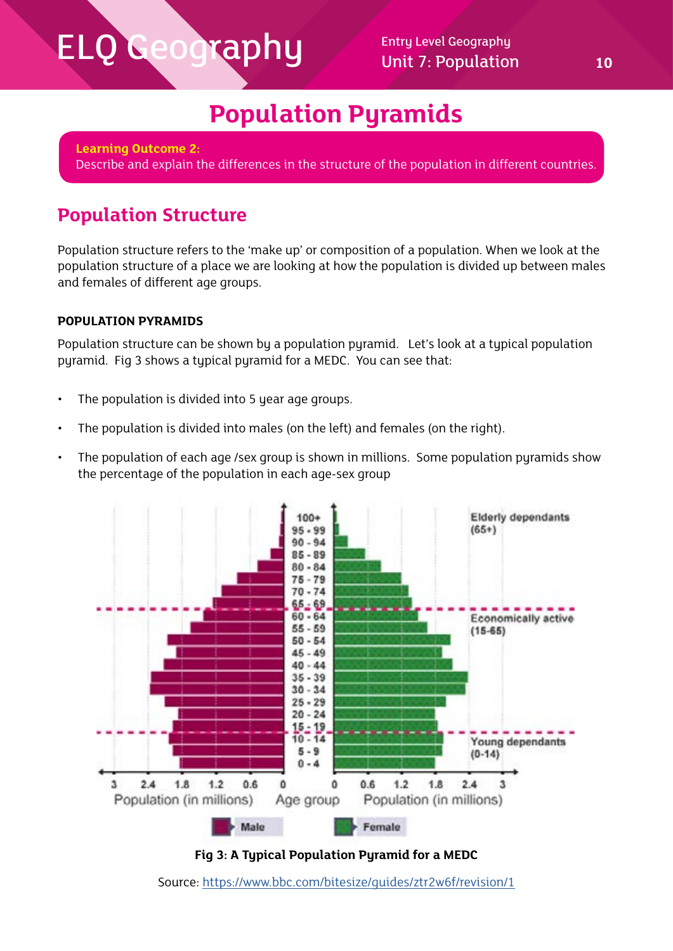### **Population Pyramids**

**Learning Outcome 2:** Describe and explain the differences in the structure of the population in different countries.

### **Population Structure**

Population structure refers to the 'make up' or composition of a population. When we look at the population structure of a place we are looking at how the population is divided up between males and females of different age groups.

### **POPULATION PYRAMIDS**

Population structure can be shown by a population pyramid. Let's look at a typical population pyramid. Fig 3 shows a typical pyramid for a MEDC. You can see that:

- The population is divided into 5 year age groups.
- The population is divided into males (on the left) and females (on the right).
- The population of each age /sex group is shown in millions. Some population pyramids show the percentage of the population in each age-sex group





Source:<https://www.bbc.com/bitesize/guides/ztr2w6f/revision/1>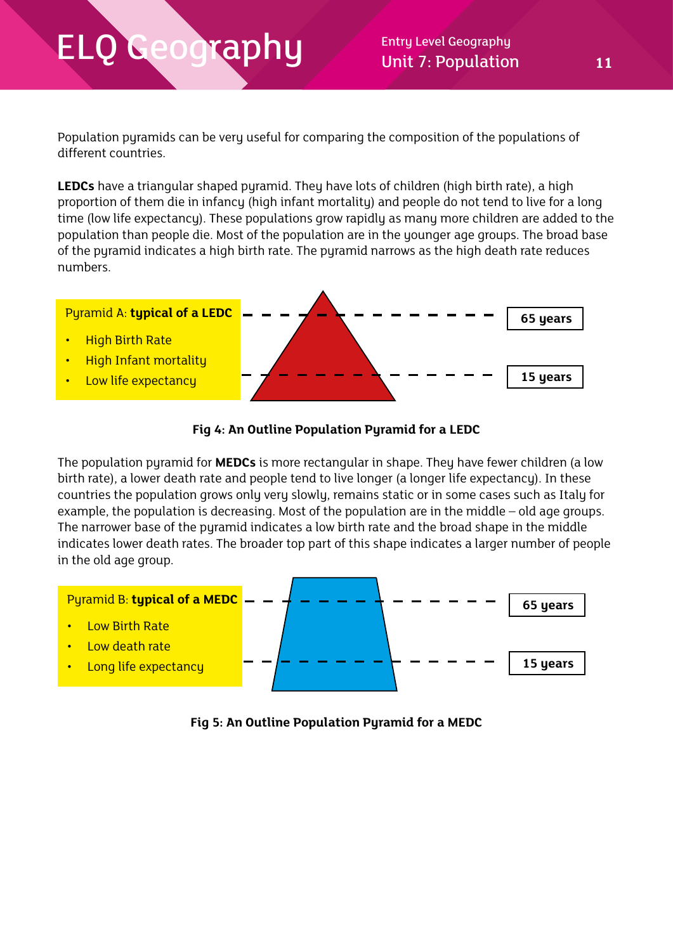$\mathsf{rapp}$  Entry Level Geography Unit 7: Population 11

Population pyramids can be very useful for comparing the composition of the populations of different countries.

**LEDCs** have a triangular shaped pyramid. They have lots of children (high birth rate), a high proportion of them die in infancy (high infant mortality) and people do not tend to live for a long time (low life expectancy). These populations grow rapidly as many more children are added to the population than people die. Most of the population are in the younger age groups. The broad base of the pyramid indicates a high birth rate. The pyramid narrows as the high death rate reduces numbers.



#### **Fig 4: An Outline Population Pyramid for a LEDC**

The population pyramid for **MEDCs** is more rectangular in shape. They have fewer children (a low birth rate), a lower death rate and people tend to live longer (a longer life expectancy). In these countries the population grows only very slowly, remains static or in some cases such as Italy for example, the population is decreasing. Most of the population are in the middle – old age groups. The narrower base of the pyramid indicates a low birth rate and the broad shape in the middle indicates lower death rates. The broader top part of this shape indicates a larger number of people in the old age group.



**Fig 5: An Outline Population Pyramid for a MEDC**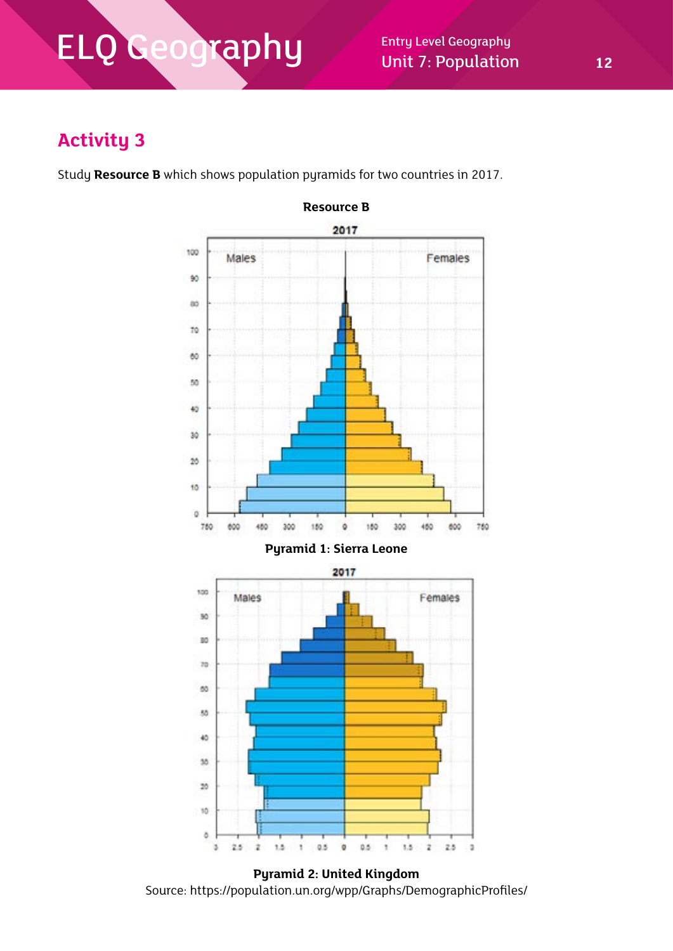Unit 7: Population **12**

### **Activity 3**

Study **Resource B** which shows population pyramids for two countries in 2017.



**Pyramid 2: United Kingdom** Source: https://population.un.org/wpp/Graphs/DemographicProfiles/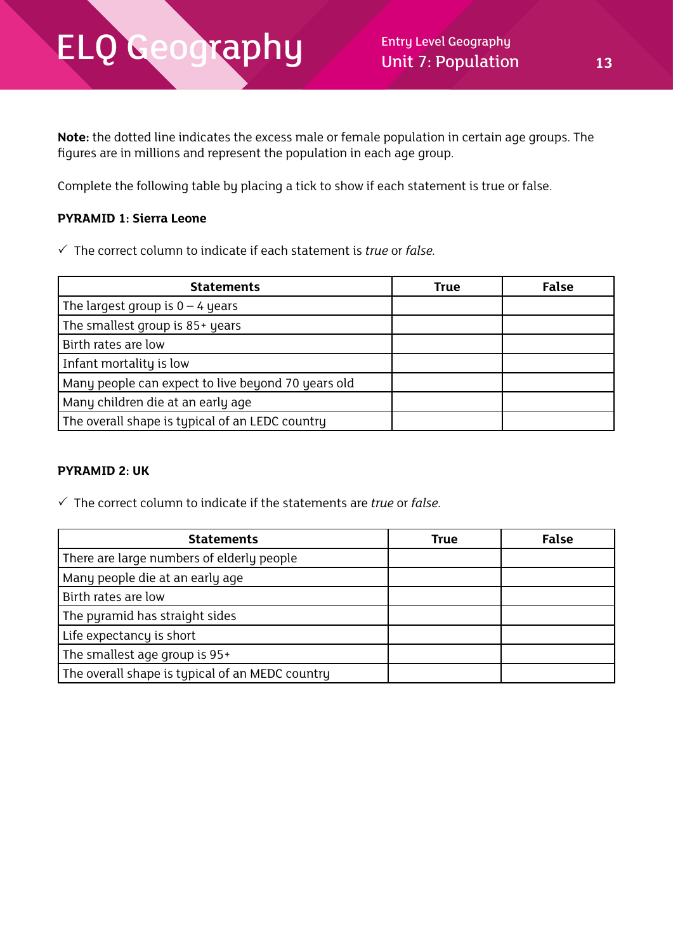**Note:** the dotted line indicates the excess male or female population in certain age groups. The figures are in millions and represent the population in each age group.

Complete the following table by placing a tick to show if each statement is true or false.

#### **PYRAMID 1: Sierra Leone**

The correct column to indicate if each statement is *true* or *false.*

| <b>Statements</b>                                  | True | False |
|----------------------------------------------------|------|-------|
| The largest group is $0 - 4$ years                 |      |       |
| The smallest group is 85+ years                    |      |       |
| Birth rates are low                                |      |       |
| Infant mortality is low                            |      |       |
| Many people can expect to live beyond 70 years old |      |       |
| Many children die at an early age                  |      |       |
| The overall shape is typical of an LEDC country    |      |       |

#### **PYRAMID 2: UK**

The correct column to indicate if the statements are *true* or *false.*

| <b>Statements</b>                               | <b>True</b> | <b>False</b> |
|-------------------------------------------------|-------------|--------------|
| There are large numbers of elderly people       |             |              |
| Many people die at an early age                 |             |              |
| Birth rates are low                             |             |              |
| The pyramid has straight sides                  |             |              |
| Life expectancy is short                        |             |              |
| The smallest age group is 95+                   |             |              |
| The overall shape is typical of an MEDC country |             |              |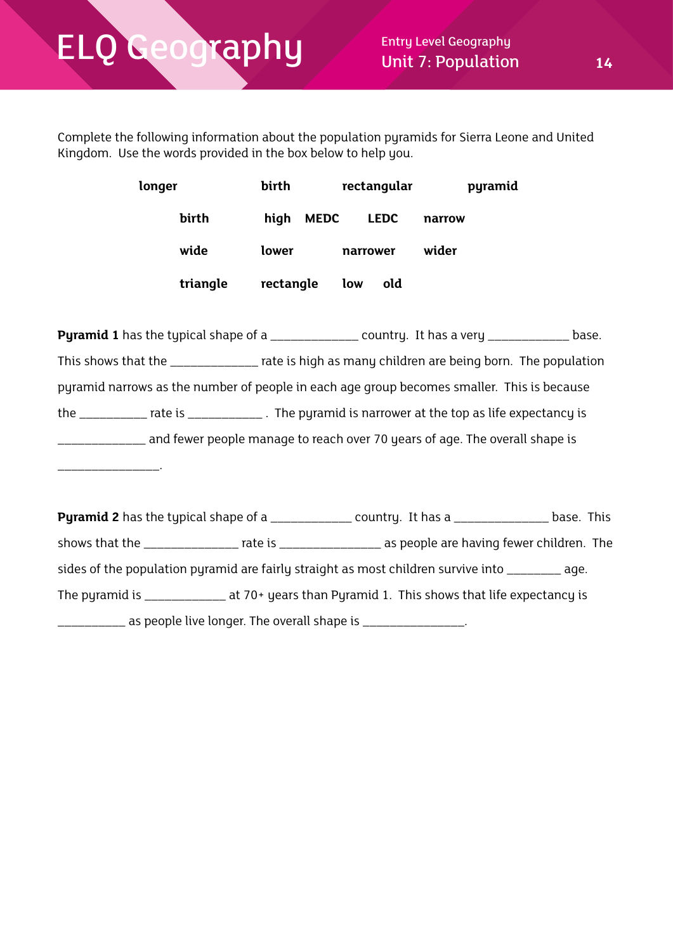\_\_\_\_\_\_\_\_\_\_\_\_\_\_\_.

Complete the following information about the population pyramids for Sierra Leone and United Kingdom. Use the words provided in the box below to help you.

| longer |          | birth     |             | rectangular |             |        | pyramid |
|--------|----------|-----------|-------------|-------------|-------------|--------|---------|
|        | birth    | high      | <b>MEDC</b> |             | <b>LEDC</b> | narrow |         |
|        | wide     | lower     |             | narrower    |             | wider  |         |
|        | triangle | rectangle |             | low         | old         |        |         |

**Pyramid 1** has the typical shape of a \_\_\_\_\_\_\_\_\_\_\_\_\_\_\_ country. It has a very \_\_\_\_\_\_\_\_\_\_\_\_\_ base. This shows that the \_\_\_\_\_\_\_\_\_\_\_\_\_ rate is high as many children are being born. The population pyramid narrows as the number of people in each age group becomes smaller. This is because the \_\_\_\_\_\_\_\_\_\_ rate is \_\_\_\_\_\_\_\_\_\_\_ . The pyramid is narrower at the top as life expectancy is \_\_\_\_\_\_\_\_\_\_\_\_\_ and fewer people manage to reach over 70 years of age. The overall shape is

|  | <b>Pyramid 2</b> has the typical shape of a _______________ country. It has a ______________                   | base. This |
|--|----------------------------------------------------------------------------------------------------------------|------------|
|  | shows that the __________________ rate is _______________________ as people are having fewer children. The     |            |
|  | sides of the population pyramid are fairly straight as most children survive into ________ age.                |            |
|  | The pyramid is $\frac{1}{2}$ and $\frac{1}{2}$ at 70+ years than Pyramid 1. This shows that life expectancy is |            |
|  | as people live longer. The overall shape is ________________.                                                  |            |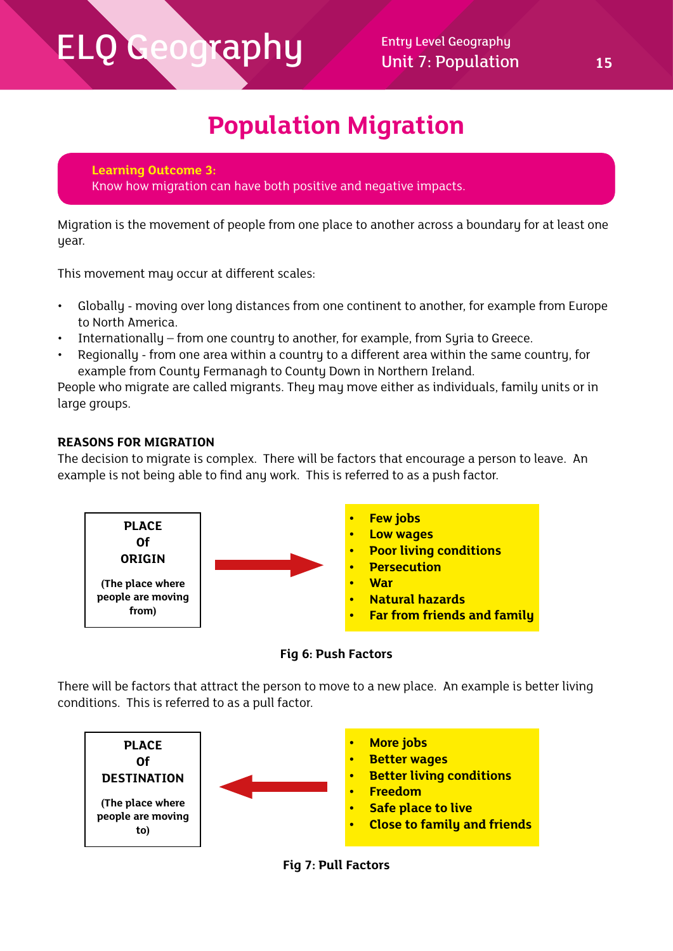### **Population Migration**

**Learning Outcome 3:** Know how migration can have both positive and negative impacts.

Migration is the movement of people from one place to another across a boundary for at least one year.

This movement may occur at different scales:

- Globally moving over long distances from one continent to another, for example from Europe to North America.
- Internationally from one country to another, for example, from Syria to Greece.
- Regionally from one area within a country to a different area within the same country, for example from County Fermanagh to County Down in Northern Ireland.

People who migrate are called migrants. They may move either as individuals, family units or in large groups.

### **REASONS FOR MIGRATION**

The decision to migrate is complex. There will be factors that encourage a person to leave. An example is not being able to find any work. This is referred to as a push factor.





There will be factors that attract the person to move to a new place. An example is better living conditions. This is referred to as a pull factor.



**Fig 7: Pull Factors**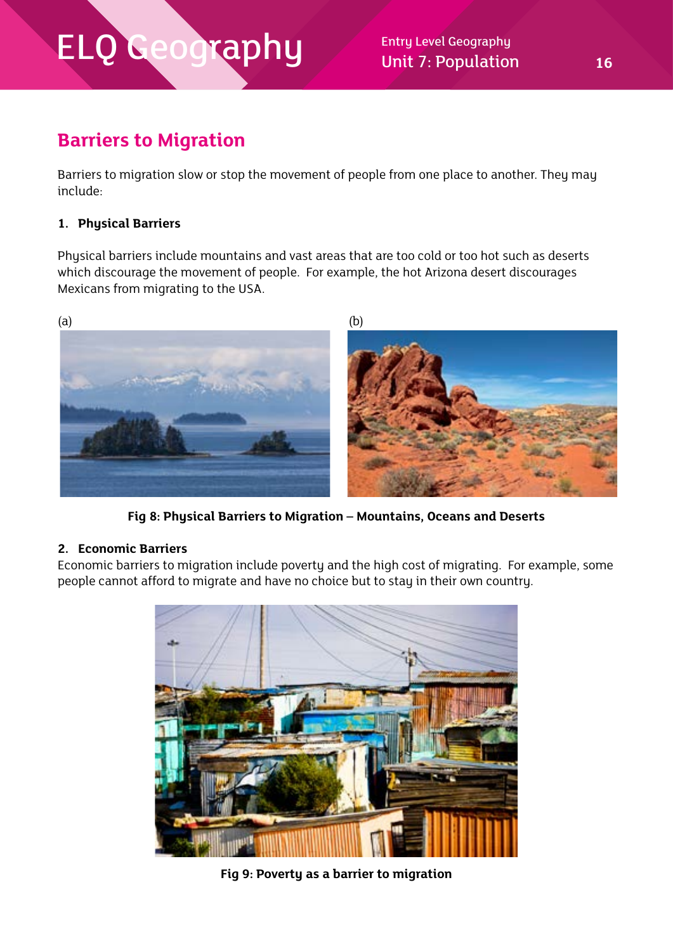Unit 7: Population **16**

### **Barriers to Migration**

Barriers to migration slow or stop the movement of people from one place to another. They may include:

#### **1. Physical Barriers**

Physical barriers include mountains and vast areas that are too cold or too hot such as deserts which discourage the movement of people. For example, the hot Arizona desert discourages Mexicans from migrating to the USA.



**Fig 8: Physical Barriers to Migration – Mountains, Oceans and Deserts**

#### **2. Economic Barriers**

Economic barriers to migration include poverty and the high cost of migrating. For example, some people cannot afford to migrate and have no choice but to stay in their own country.



**Fig 9: Poverty as a barrier to migration**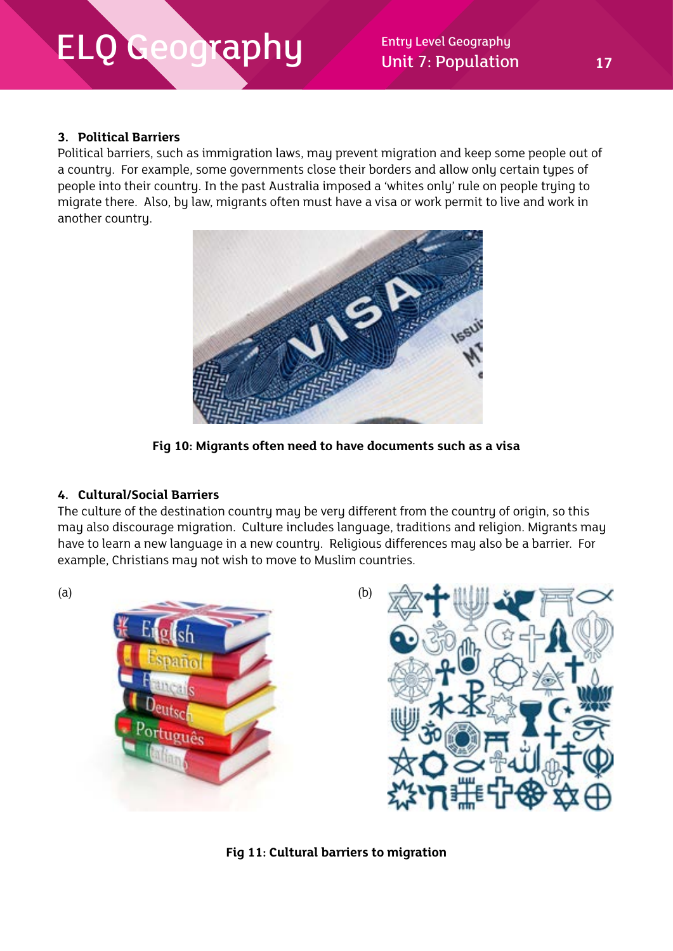Unit 7: Population **17**

#### **3. Political Barriers**

Political barriers, such as immigration laws, may prevent migration and keep some people out of a country. For example, some governments close their borders and allow only certain types of people into their country. In the past Australia imposed a 'whites only' rule on people trying to migrate there. Also, by law, migrants often must have a visa or work permit to live and work in another country.



**Fig 10: Migrants often need to have documents such as a visa**

#### **4. Cultural/Social Barriers**

The culture of the destination country may be very different from the country of origin, so this may also discourage migration. Culture includes language, traditions and religion. Migrants may have to learn a new language in a new country. Religious differences may also be a barrier. For example, Christians may not wish to move to Muslim countries.



**Fig 11: Cultural barriers to migration**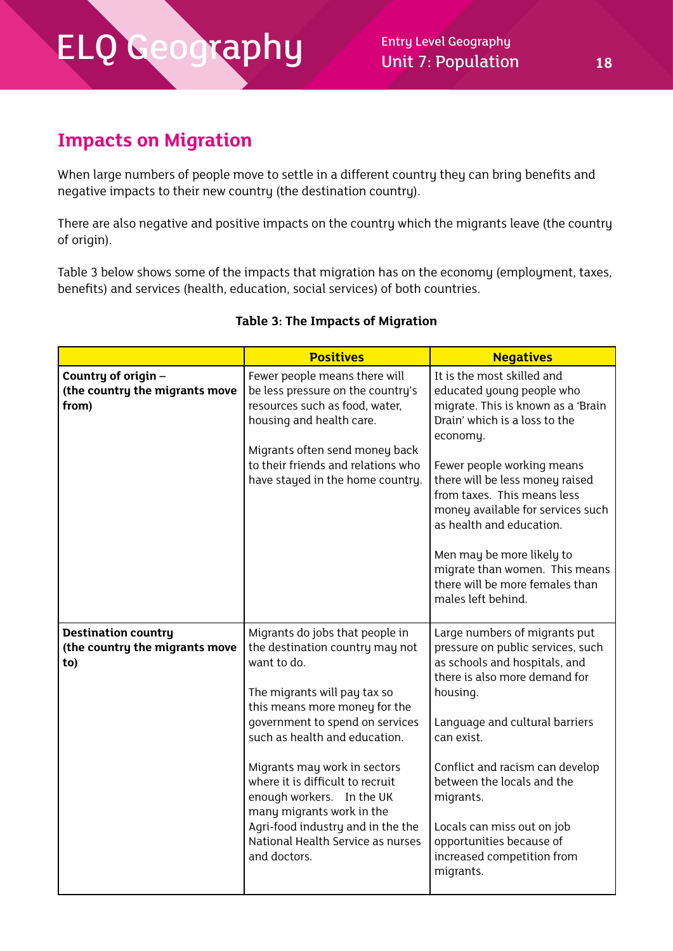Unit 7: Population **18**

### **Impacts on Migration**

When large numbers of people move to settle in a different country they can bring benefits and negative impacts to their new country (the destination country).

There are also negative and positive impacts on the country which the migrants leave (the country of origin).

Table 3 below shows some of the impacts that migration has on the economy (employment, taxes, benefits) and services (health, education, social services) of both countries.

|                                                                     | <b>Positives</b>                                                                                                                                                                                                                                                                                                                                                                                                                               | <b>Negatives</b>                                                                                                                                                                                                                                                                                                                                                                                                                    |
|---------------------------------------------------------------------|------------------------------------------------------------------------------------------------------------------------------------------------------------------------------------------------------------------------------------------------------------------------------------------------------------------------------------------------------------------------------------------------------------------------------------------------|-------------------------------------------------------------------------------------------------------------------------------------------------------------------------------------------------------------------------------------------------------------------------------------------------------------------------------------------------------------------------------------------------------------------------------------|
| Country of origin -<br>(the country the migrants move<br>from)      | Fewer people means there will<br>be less pressure on the country's<br>resources such as food, water,<br>housing and health care.<br>Migrants often send money back<br>to their friends and relations who<br>have stayed in the home country.                                                                                                                                                                                                   | It is the most skilled and<br>educated young people who<br>migrate. This is known as a 'Brain<br>Drain' which is a loss to the<br>economy.<br>Fewer people working means<br>there will be less money raised<br>from taxes. This means less<br>money available for services such<br>as health and education.<br>Men may be more likely to<br>migrate than women. This means<br>there will be more females than<br>males left behind. |
| <b>Destination country</b><br>(the country the migrants move<br>to) | Migrants do jobs that people in<br>the destination country may not<br>want to do.<br>The migrants will pay tax so<br>this means more money for the<br>government to spend on services<br>such as health and education.<br>Migrants may work in sectors<br>where it is difficult to recruit<br>enough workers. In the UK<br>many migrants work in the<br>Agri-food industry and in the the<br>National Health Service as nurses<br>and doctors. | Large numbers of migrants put<br>pressure on public services, such<br>as schools and hospitals, and<br>there is also more demand for<br>housing.<br>Language and cultural barriers<br>can exist.<br>Conflict and racism can develop<br>between the locals and the<br>migrants.<br>Locals can miss out on job<br>opportunities because of<br>increased competition from<br>migrants.                                                 |

### **Table 3: The Impacts of Migration**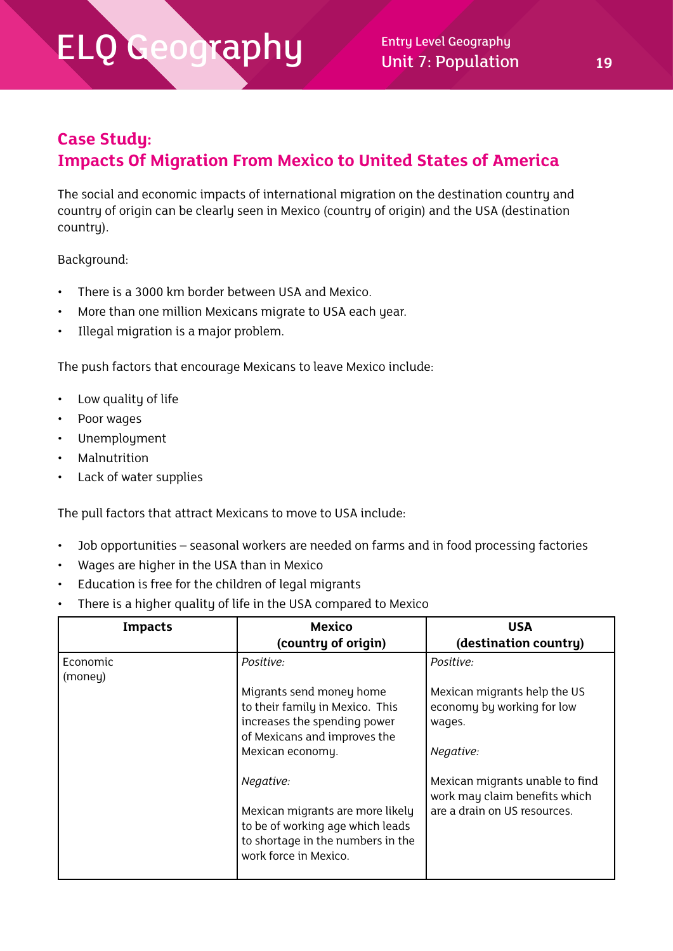Unit 7: Population **19**

### **Case Study:**

### **Impacts Of Migration From Mexico to United States of America**

The social and economic impacts of international migration on the destination country and country of origin can be clearly seen in Mexico (country of origin) and the USA (destination country).

Background:

- There is a 3000 km border between USA and Mexico.
- More than one million Mexicans migrate to USA each year.
- Illegal migration is a major problem.

The push factors that encourage Mexicans to leave Mexico include:

- Low quality of life
- Poor wages
- Unemployment
- **Malnutrition**
- Lack of water supplies

The pull factors that attract Mexicans to move to USA include:

- Job opportunities seasonal workers are needed on farms and in food processing factories
- Wages are higher in the USA than in Mexico
- Education is free for the children of legal migrants
- There is a higher quality of life in the USA compared to Mexico

| <b>Impacts</b>      | <b>Mexico</b><br>(country of origin)                                                                                                            | <b>USA</b><br>(destination country)                                                              |
|---------------------|-------------------------------------------------------------------------------------------------------------------------------------------------|--------------------------------------------------------------------------------------------------|
| Economic<br>(money) | Positive:<br>Migrants send money home<br>to their family in Mexico. This<br>increases the spending power                                        | Positive:<br>Mexican migrants help the US<br>economy by working for low<br>wages.                |
|                     | of Mexicans and improves the<br>Mexican economy.                                                                                                | Negative:                                                                                        |
|                     | Negative:<br>Mexican migrants are more likely<br>to be of working age which leads<br>to shortage in the numbers in the<br>work force in Mexico. | Mexican migrants unable to find<br>work may claim benefits which<br>are a drain on US resources. |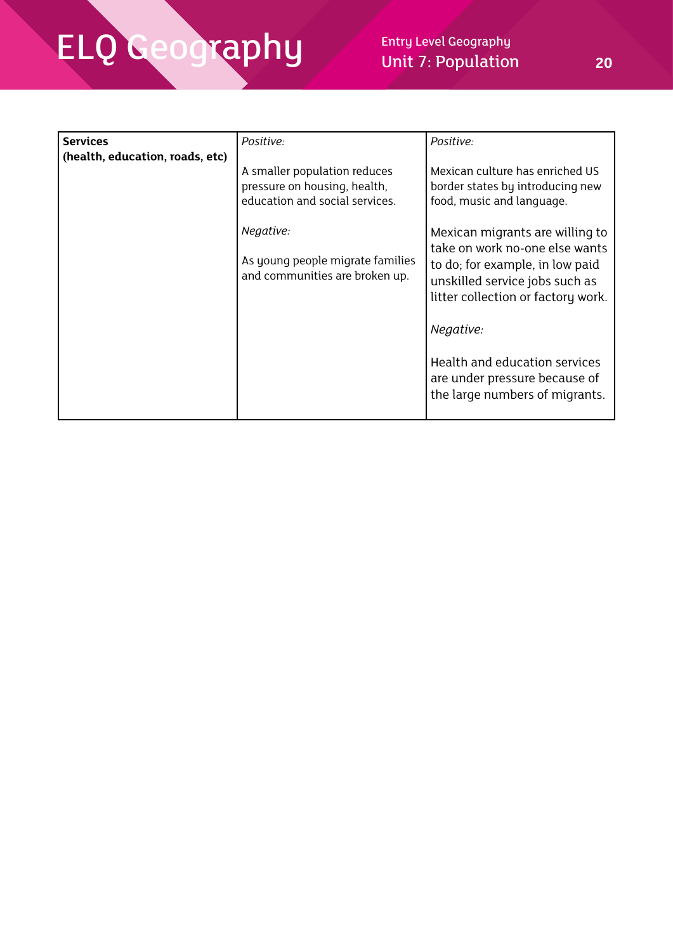| <b>Services</b><br>(health, education, roads, etc) | Positive:                                                                                      | Positive:                                                                                               |
|----------------------------------------------------|------------------------------------------------------------------------------------------------|---------------------------------------------------------------------------------------------------------|
|                                                    | A smaller population reduces<br>pressure on housing, health,<br>education and social services. | Mexican culture has enriched US<br>border states by introducing new<br>food, music and language.        |
|                                                    | Negative:                                                                                      | Mexican migrants are willing to<br>take on work no-one else wants                                       |
|                                                    | As young people migrate families<br>and communities are broken up.                             | to do; for example, in low paid<br>unskilled service jobs such as<br>litter collection or factory work. |
|                                                    |                                                                                                | Negative:                                                                                               |
|                                                    |                                                                                                | Health and education services<br>are under pressure because of<br>the large numbers of migrants.        |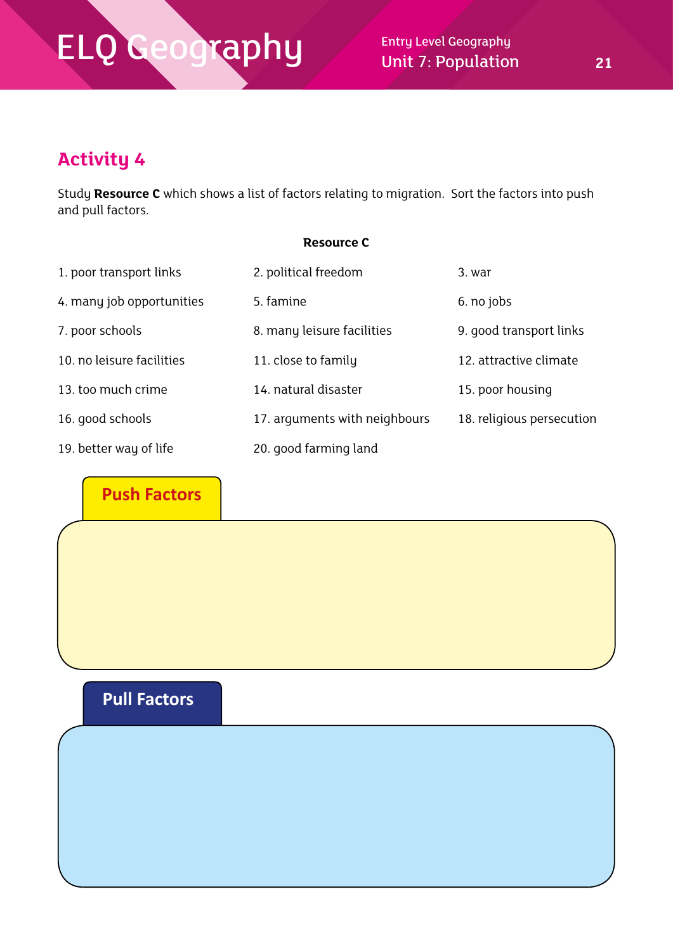### **Activity 4**

Study **Resource C** which shows a list of factors relating to migration. Sort the factors into push and pull factors.

#### **Resource C**

| 1. poor transport links   | 2. political freedom          | 3. war                    |
|---------------------------|-------------------------------|---------------------------|
| 4. many job opportunities | 5. famine                     | 6. no jobs                |
| 7. poor schools           | 8. many leisure facilities    | 9. good transport links   |
| 10. no leisure facilities | 11. close to family           | 12. attractive climate    |
| 13. too much crime        | 14. natural disaster          | 15. poor housing          |
| 16. good schools          | 17. arguments with neighbours | 18. religious persecution |
| 19. better way of life    | 20. good farming land         |                           |

**Push Factors**

### **Pull Factors**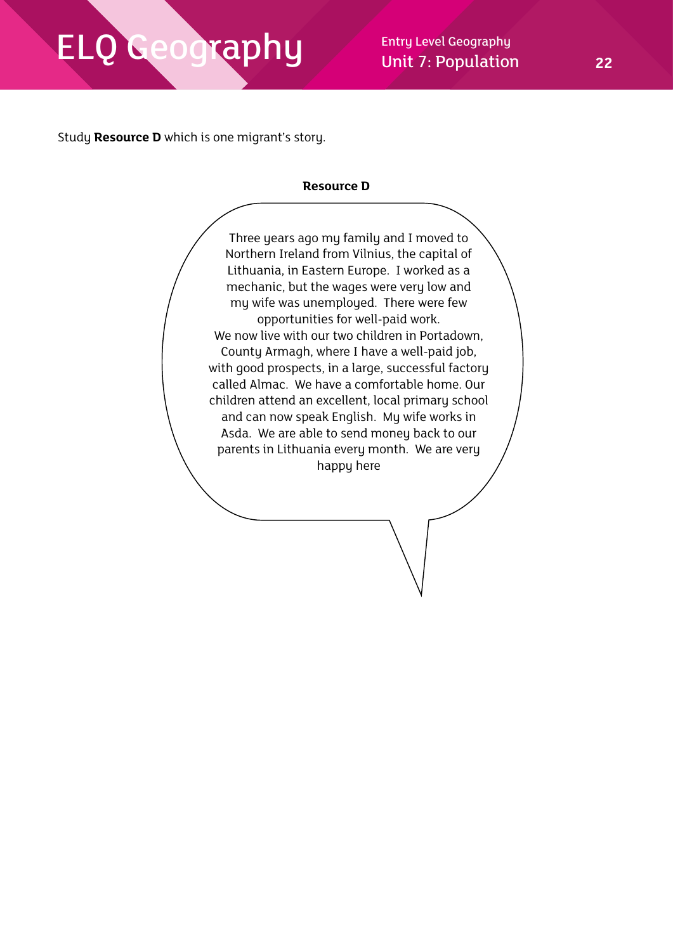Unit 7: Population **22**

Study **Resource D** which is one migrant's story.

#### **Resource D**

Three years ago my family and I moved to Northern Ireland from Vilnius, the capital of Lithuania, in Eastern Europe. I worked as a mechanic, but the wages were very low and my wife was unemployed. There were few opportunities for well-paid work. We now live with our two children in Portadown, County Armagh, where I have a well-paid job, with good prospects, in a large, successful factory called Almac. We have a comfortable home. Our children attend an excellent, local primary school and can now speak English. My wife works in Asda. We are able to send money back to our parents in Lithuania every month. We are very happy here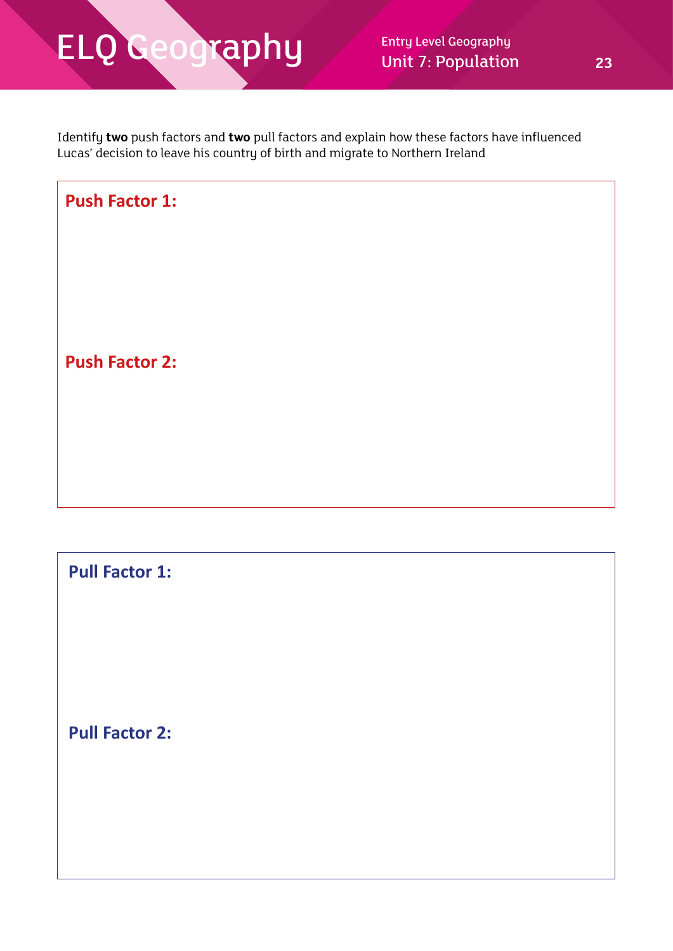Identify **two** push factors and **two** pull factors and explain how these factors have influenced Lucas' decision to leave his country of birth and migrate to Northern Ireland



**Pull Factor 1:**

**Pull Factor 2:**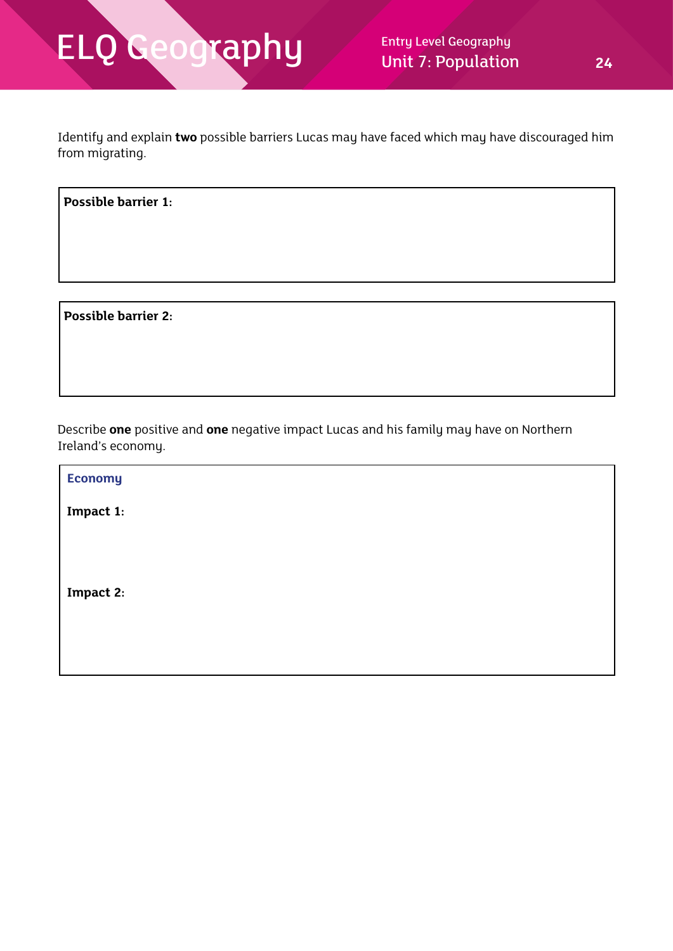Identify and explain **two** possible barriers Lucas may have faced which may have discouraged him from migrating.

**Possible barrier 1:**

 **Possible barrier 2:**

Describe **one** positive and **one** negative impact Lucas and his family may have on Northern Ireland's economy.

 **Economy Impact 1: Impact 2:**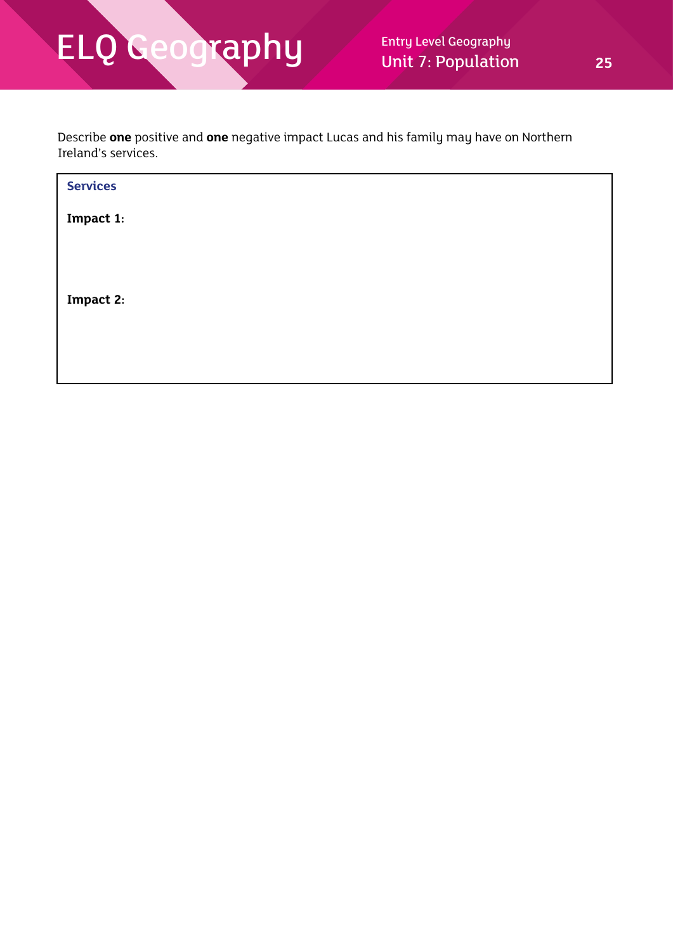Describe **one** positive and **one** negative impact Lucas and his family may have on Northern Ireland's services.

| <b>Services</b> |  |  |  |
|-----------------|--|--|--|
| Impact 1:       |  |  |  |
|                 |  |  |  |
|                 |  |  |  |
| Impact 2:       |  |  |  |
|                 |  |  |  |
|                 |  |  |  |
|                 |  |  |  |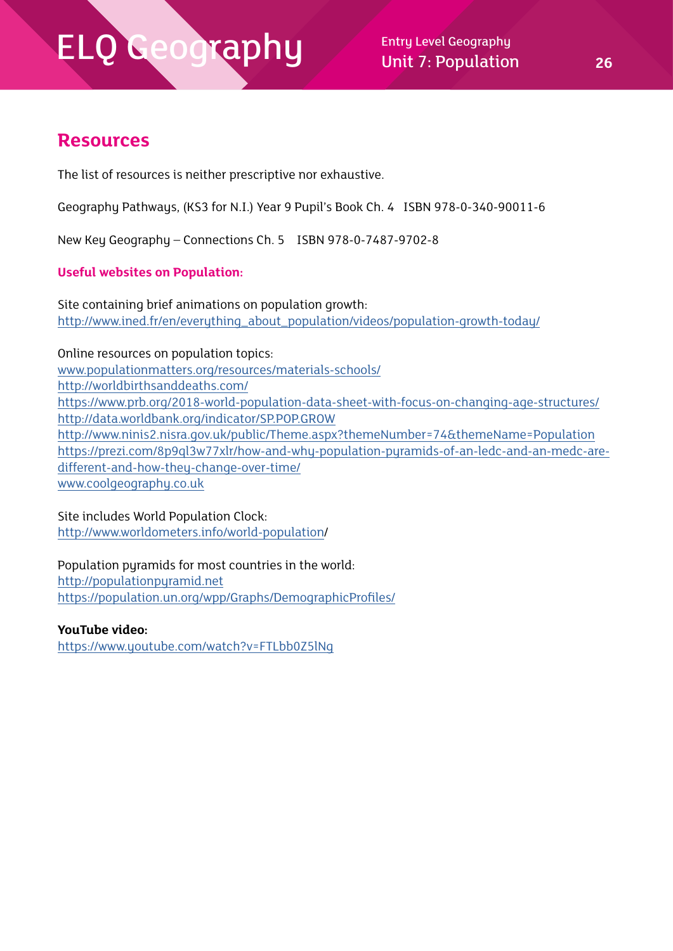$\mathsf{rapp}$  Entry Level Geography Unit 7: Population **26**

### **Resources**

The list of resources is neither prescriptive nor exhaustive.

Geography Pathways, (KS3 for N.I.) Year 9 Pupil's Book Ch. 4 ISBN 978-0-340-90011-6

New Key Geography – Connections Ch. 5 ISBN 978-0-7487-9702-8

#### **Useful websites on Population:**

Site containing brief animations on population growth: [http://www.ined.fr/en/everything\\_about\\_population/videos/population-growth-today/](http://www.ined.fr/en/everything_about_population/videos/population-growth-today/)

Online resources on population topics:

[www.populationmatters.org/resources/materials-schools/](http://www.populationmatters.org/resources/materials-schools/) <http://worldbirthsanddeaths.com/>

<https://www.prb.org/2018-world-population-data-sheet-with-focus-on-changing-age-structures/> <http://data.worldbank.org/indicator/SP.POP.GROW> <http://www.ninis2.nisra.gov.uk/public/Theme.aspx?themeNumber=74&themeName=Population> [https://prezi.com/8p9ql3w77xlr/how-and-why-population-pyramids-of-an-ledc-and-an-medc-are](https://prezi.com/8p9ql3w77xlr/how-and-why-population-pyramids-of-an-ledc-and-an-medc-are-different-)[different-and-how-they-change-over-time/](https://prezi.com/8p9ql3w77xlr/how-and-why-population-pyramids-of-an-ledc-and-an-medc-are-different-)

[www.coolgeography.co.uk](http://www.coolgeography.co.uk)

#### Site includes World Population Clock:

[http://www.worldometers.info/world-population/](http://www.worldometers.info/world-population)

#### Population pyramids for most countries in the world:

<http://populationpyramid.net> <https://population.un.org/wpp/Graphs/DemographicProfiles/>

#### **YouTube video:**

<https://www.youtube.com/watch?v=FTLbb0Z5lNg>